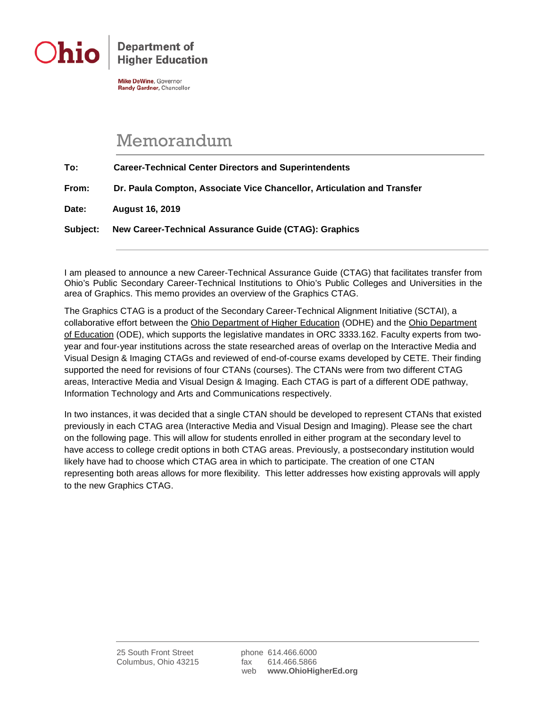

**Department of Higher Education** 

**Mike DeWine, Governor** Randy Gardner, Chancellor

## Memorandum

**To: Career-Technical Center Directors and Superintendents From: Dr. Paula Compton, Associate Vice Chancellor, Articulation and Transfer**

**Date: August 16, 2019**

**Subject: New Career-Technical Assurance Guide (CTAG): Graphics**

I am pleased to announce a new Career-Technical Assurance Guide (CTAG) that facilitates transfer from Ohio's Public Secondary Career-Technical Institutions to Ohio's Public Colleges and Universities in the area of Graphics. This memo provides an overview of the Graphics CTAG.

The Graphics CTAG is a product of the Secondary Career-Technical Alignment Initiative (SCTAI), a collaborative effort between the Ohio Department of Higher Education (ODHE) and the Ohio Department of Education (ODE), which supports the legislative mandates in ORC 3333.162. Faculty experts from twoyear and four-year institutions across the state researched areas of overlap on the Interactive Media and Visual Design & Imaging CTAGs and reviewed of end-of-course exams developed by CETE. Their finding supported the need for revisions of four CTANs (courses). The CTANs were from two different CTAG areas, Interactive Media and Visual Design & Imaging. Each CTAG is part of a different ODE pathway, Information Technology and Arts and Communications respectively.

In two instances, it was decided that a single CTAN should be developed to represent CTANs that existed previously in each CTAG area (Interactive Media and Visual Design and Imaging). Please see the chart on the following page. This will allow for students enrolled in either program at the secondary level to have access to college credit options in both CTAG areas. Previously, a postsecondary institution would likely have had to choose which CTAG area in which to participate. The creation of one CTAN representing both areas allows for more flexibility. This letter addresses how existing approvals will apply to the new Graphics CTAG.